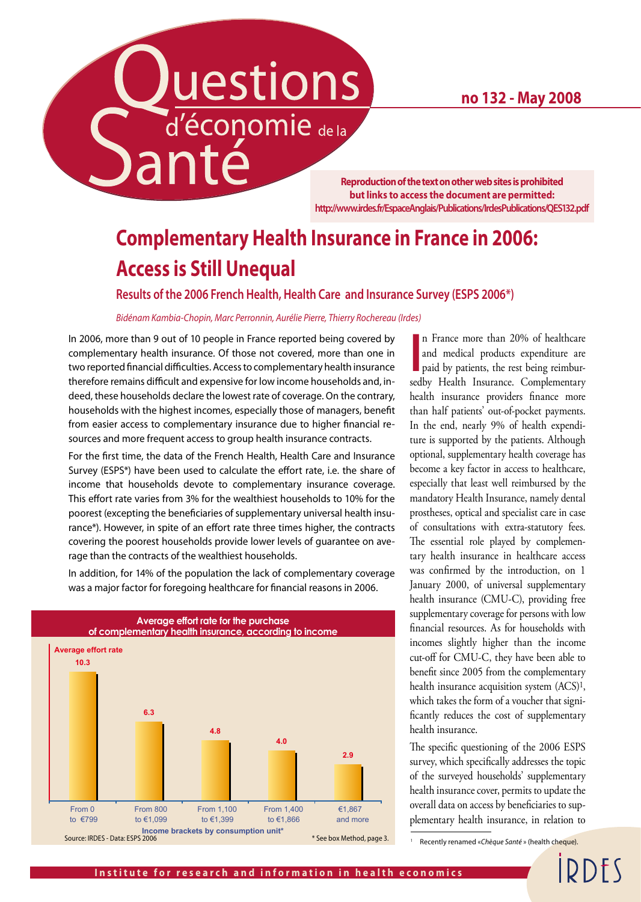**no 132 - May 2008**

d'économie de la

**Reproduction of the text on other web sites is prohibited but links to access the document are permitted: http://www.irdes.fr/EspaceAnglais/Publications/IrdesPublications/QES132.pdf**

## **Complementary Health Insurance in France in 2006: Access is Still Unequal**

**Results of the 2006 French Health, Health Care and Insurance Survey (ESPS 2006\*)**

#### *Bidénam Kambia-Chopin, Marc Perronnin, Aurélie Pierre, Thierry Rochereau (Irdes)*

uestions

In 2006, more than 9 out of 10 people in France reported being covered by complementary health insurance. Of those not covered, more than one in two reported financial difficulties. Access to complementary health insurance therefore remains difficult and expensive for low income households and, indeed, these households declare the lowest rate of coverage. On the contrary, households with the highest incomes, especially those of managers, benefit from easier access to complementary insurance due to higher financial resources and more frequent access to group health insurance contracts.

**Santé** 

For the first time, the data of the French Health, Health Care and Insurance Survey (ESPS\*) have been used to calculate the effort rate, i.e. the share of income that households devote to complementary insurance coverage. This effort rate varies from 3% for the wealthiest households to 10% for the poorest (excepting the beneficiaries of supplementary universal health insurance\*). However, in spite of an effort rate three times higher, the contracts covering the poorest households provide lower levels of guarantee on average than the contracts of the wealthiest households.

**Average effort rate for the purchase of complementary health insurance, according to income 10.3 6.3 4.8 4.0 2.9** From 0 to €799 From 800 to €1,099 From 1,100 to €1,399 From 1,400 to €1,866 €1,867 and more **Income brackets by consumption unit\***<br>Source: IRDES - Data: ESPS 2006 **Average effort rate** \* See box Method, page 3.

In addition, for 14% of the population the lack of complementary coverage was a major factor for foregoing healthcare for financial reasons in 2006.

n France more than 20% of healthcare<br>
and medical products expenditure are<br>
paid by patients, the rest being reimbur-<br>
sedby Health Insurance. Complementary n France more than 20% of healthcare and medical products expenditure are paid by patients, the rest being reimburhealth insurance providers finance more than half patients' out-of-pocket payments. In the end, nearly 9% of health expenditure is supported by the patients. Although optional, supplementary health coverage has become a key factor in access to healthcare, especially that least well reimbursed by the mandatory Health Insurance, namely dental prostheses, optical and specialist care in case of consultations with extra-statutory fees. The essential role played by complementary health insurance in healthcare access was confirmed by the introduction, on 1 January 2000, of universal supplementary health insurance (CMU-C), providing free supplementary coverage for persons with low financial resources. As for households with incomes slightly higher than the income cut-off for CMU-C, they have been able to benefit since 2005 from the complementary health insurance acquisition system (ACS)1, which takes the form of a voucher that significantly reduces the cost of supplementary health insurance.

The specific questioning of the 2006 ESPS survey, which specifically addresses the topic of the surveyed households' supplementary health insurance cover, permits to update the overall data on access by beneficiaries to supplementary health insurance, in relation to

<sup>1</sup> Recently renamed «*Chèque Santé* » (health cheque).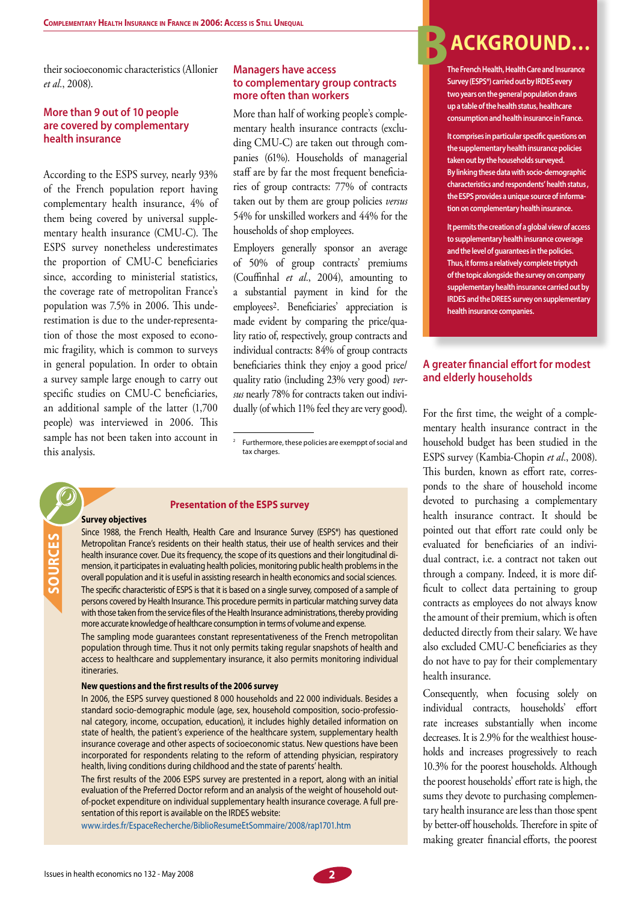their socioeconomic characteristics (Allonier *et al.*, 2008).

#### **More than 9 out of 10 people are covered by complementary health insurance**

According to the ESPS survey, nearly 93% of the French population report having complementary health insurance, 4% of them being covered by universal supplementary health insurance (CMU-C). The ESPS survey nonetheless underestimates the proportion of CMU-C beneficiaries since, according to ministerial statistics, the coverage rate of metropolitan France's population was 7.5% in 2006. This underestimation is due to the under-representation of those the most exposed to economic fragility, which is common to surveys in general population. In order to obtain a survey sample large enough to carry out specific studies on CMU-C beneficiaries, an additional sample of the latter (1,700 people) was interviewed in 2006. This sample has not been taken into account in this analysis.

#### **Managers have access to complementary group contracts more often than workers**

More than half of working people's complementary health insurance contracts (excluding CMU-C) are taken out through companies (61%). Households of managerial staff are by far the most frequent beneficiaries of group contracts: 77% of contracts taken out by them are group policies *versus* 54% for unskilled workers and 44% for the households of shop employees.

Employers generally sponsor an average of 50% of group contracts' premiums (Couffinhal *et al.*, 2004), amounting to a substantial payment in kind for the employees2. Beneficiaries' appreciation is made evident by comparing the price/quality ratio of, respectively, group contracts and individual contracts: 84% of group contracts beneficiaries think they enjoy a good price/ quality ratio (including 23% very good) *versus* nearly 78% for contracts taken out individually (of which 11% feel they are very good).

### **Survey objectives**

**sour**

**ces**

Since 1988, the French Health, Health Care and Insurance Survey (ESPS\*) has questioned Metropolitan France's residents on their health status, their use of health services and their health insurance cover. Due its frequency, the scope of its questions and their longitudinal dimension, it participates in evaluating health policies, monitoring public health problems in the overall population and it is useful in assisting research in health economics and social sciences. The specific characteristic of ESPS is that it is based on a single survey, composed of a sample of persons covered by Health Insurance. This procedure permits in particular matching survey data with those taken from the service files of the Health Insurance administrations, thereby providing more accurate knowledge of healthcare consumption in terms of volume and expense.

**Presentation of the ESPS survey**

The sampling mode guarantees constant representativeness of the French metropolitan population through time. Thus it not only permits taking regular snapshots of health and access to healthcare and supplementary insurance, it also permits monitoring individual itineraries.

#### **New questions and the first results of the 2006 survey**

In 2006, the ESPS survey questioned 8 000 households and 22 000 individuals. Besides a standard socio-demographic module (age, sex, household composition, socio-professional category, income, occupation, education), it includes highly detailed information on state of health, the patient's experience of the healthcare system, supplementary health insurance coverage and other aspects of socioeconomic status. New questions have been incorporated for respondents relating to the reform of attending physician, respiratory health, living conditions during childhood and the state of parents' health.

The first results of the 2006 ESPS survey are prestented in a report, along with an initial evaluation of the Preferred Doctor reform and an analysis of the weight of household outof-pocket expenditure on individual supplementary health insurance coverage. A full presentation of this report is available on the IRDES website:

www.irdes.fr/EspaceRecherche/BiblioResumeEtSommaire/2008/rap1701.htm

## **BACKGROUND…**

**The French Health, Health Care and Insurance Survey (ESPS\*) carried out by IRDES every two years on the general population draws up a table of the health status, healthcare consumption and health insurance in France.**

**It comprises in particular specific questions on the supplementary health insurance policies taken out by the households surveyed. By linking these data with socio-demographic characteristics and respondents' health status , the ESPS provides a unique source of information on complementary health insurance.** 

**It permits the creation of a global view of access to supplementary health insurance coverage and the level of guarantees in the policies. Thus, it forms a relatively complete triptych of the topic alongside the survey on company supplementary health insurance carried out by IRDES and the DREES survey on supplementary health insurance companies.**

#### **A greater financial effort for modest and elderly households**

For the first time, the weight of a complementary health insurance contract in the household budget has been studied in the ESPS survey (Kambia-Chopin *et al.*, 2008). This burden, known as effort rate, corresponds to the share of household income devoted to purchasing a complementary health insurance contract. It should be pointed out that effort rate could only be evaluated for beneficiaries of an individual contract, i.e. a contract not taken out through a company. Indeed, it is more difficult to collect data pertaining to group contracts as employees do not always know the amount of their premium, which is often deducted directly from their salary. We have also excluded CMU-C beneficiaries as they do not have to pay for their complementary health insurance.

Consequently, when focusing solely on individual contracts, households' effort rate increases substantially when income decreases. It is 2.9% for the wealthiest households and increases progressively to reach 10.3% for the poorest households. Although the poorest households' effort rate is high, the sums they devote to purchasing complementary health insurance are less than those spent by better-off households. Therefore in spite of making greater financial efforts, the poorest



Furthermore, these policies are exemppt of social and tax charges.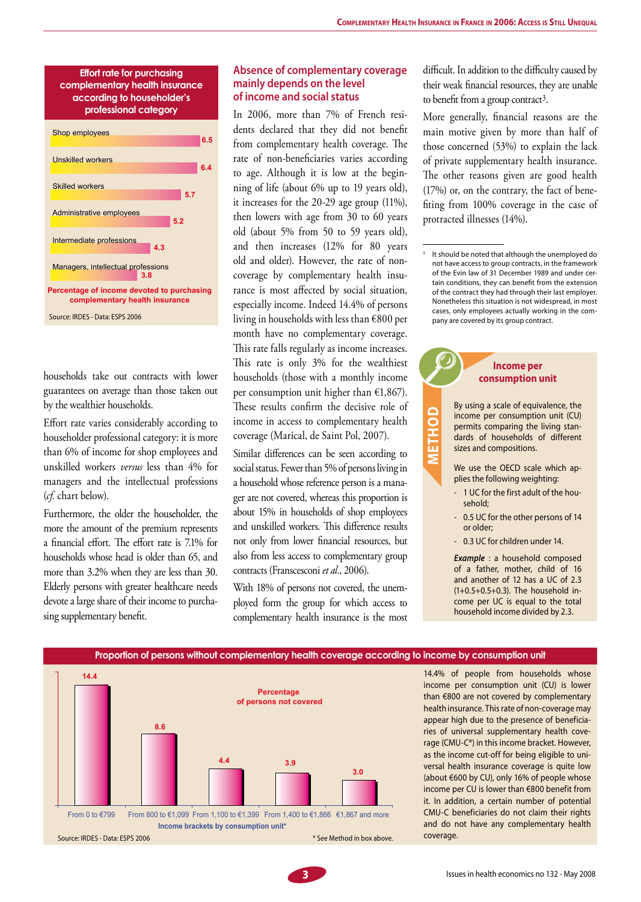#### **Effort rate for purchasing complementary health insurance according to householder's professional category Percentage of income devoted to purchasing complementary health insurance** Managers, intellectual professions Intermediate professions Administrative employees Skilled workers Unskilled workers Shop employees **6.5 6.4 5.7 5.2 4.3 3.8** Source: IRDES - Data: ESPS 2006

households take out contracts with lower guarantees on average than those taken out by the wealthier households.

Effort rate varies considerably according to householder professional category: it is more than 6% of income for shop employees and unskilled workers *versus* less than 4% for managers and the intellectual professions (*cf.* chart below).

Furthermore, the older the householder, the more the amount of the premium represents a financial effort. The effort rate is 7.1% for households whose head is older than 65, and more than 3.2% when they are less than 30. Elderly persons with greater healthcare needs devote a large share of their income to purchasing supplementary benefit.

#### **Absence of complementary coverage mainly depends on the level of income and social status**

In 2006, more than 7% of French residents declared that they did not benefit from complementary health coverage. The rate of non-beneficiaries varies according to age. Although it is low at the beginning of life (about 6% up to 19 years old), it increases for the 20-29 age group (11%), then lowers with age from 30 to 60 years old (about 5% from 50 to 59 years old), and then increases (12% for 80 years old and older). However, the rate of noncoverage by complementary health insurance is most affected by social situation, especially income. Indeed 14.4% of persons living in households with less than €800 per month have no complementary coverage. This rate falls regularly as income increases. This rate is only 3% for the wealthiest households (those with a monthly income per consumption unit higher than  $\epsilon$ 1,867). These results confirm the decisive role of income in access to complementary health coverage (Marical, de Saint Pol, 2007).

Similar differences can be seen according to social status. Fewer than 5% of persons living in a household whose reference person is a manager are not covered, whereas this proportion is about 15% in households of shop employees and unskilled workers. This difference results not only from lower financial resources, but also from less access to complementary group contracts (Franscesconi *et al.*, 2006).

With 18% of persons not covered, the unemployed form the group for which access to complementary health insurance is the most difficult. In addition to the difficulty caused by their weak financial resources, they are unable to benefit from a group contract3.

More generally, financial reasons are the main motive given by more than half of those concerned (53%) to explain the lack of private supplementary health insurance. The other reasons given are good health (17%) or, on the contrary, the fact of benefiting from 100% coverage in the case of protracted illnesses (14%).

It should be noted that although the unemployed do not have access to group contracts, in the framework of the Evin law of 31 December 1989 and under certain conditions, they can benefit from the extension of the contract they had through their last employer. Nonetheless this situation is not widespread, in most cases, only employees actually working in the company are covered by its group contract.

#### **Income per consumption unit** By using a scale of equivalence, the income per consumption unit (CU) permits comparing the living standards of households of different sizes and compositions. We use the OECD scale which applies the following weighting: **met hod**

- 1 UC for the first adult of the household;
- 0.5 UC for the other persons of 14 or older;
- 0.3 UC for children under 14.

**Example** : a household composed of a father, mother, child of 16 and another of 12 has a UC of 2.3 (1+0.5+0.5+0.3). The household income per UC is equal to the total household income divided by 2.3.



14.4% of people from households whose income per consumption unit (CU) is lower than €800 are not covered by complementary health insurance. This rate of non-coverage may appear high due to the presence of beneficiaries of universal supplementary health coverage (CMU-C\*) in this income bracket. However, as the income cut-off for being eligible to universal health insurance coverage is quite low (about €600 by CU), only 16% of people whose income per CU is lower than €800 benefit from it. In addition, a certain number of potential CMU-C beneficiaries do not claim their rights and do not have any complementary health coverage.